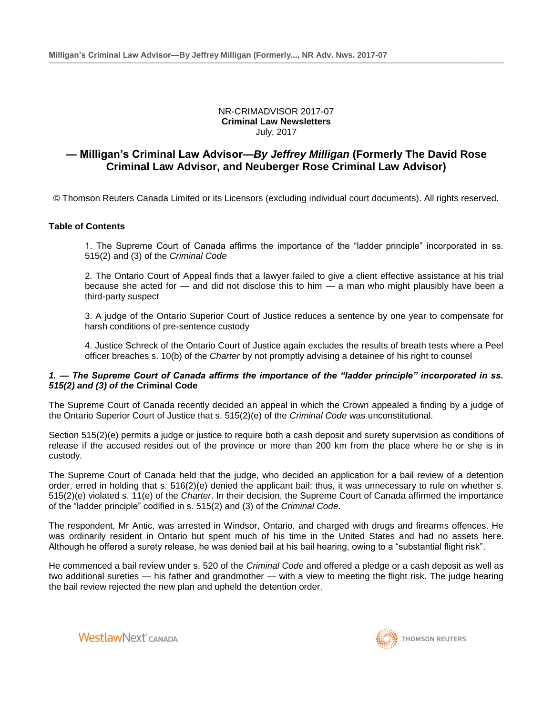NR-CRIMADVISOR 2017-07 **Criminal Law Newsletters** July, 2017

# **— Milligan's Criminal Law Advisor—***By Jeffrey Milligan* **(Formerly The David Rose Criminal Law Advisor, and Neuberger Rose Criminal Law Advisor)**

© Thomson Reuters Canada Limited or its Licensors (excluding individual court documents). All rights reserved.

## **Table of Contents**

1. The Supreme Court of Canada affirms the importance of the "ladder principle" incorporated in ss. 515(2) and (3) of the *Criminal Code*

2. The Ontario Court of Appeal finds that a lawyer failed to give a client effective assistance at his trial because she acted for — and did not disclose this to him — a man who might plausibly have been a third-party suspect

3. A judge of the Ontario Superior Court of Justice reduces a sentence by one year to compensate for harsh conditions of pre-sentence custody

4. Justice Schreck of the Ontario Court of Justice again excludes the results of breath tests where a Peel officer breaches s. 10(b) of the *Charter* by not promptly advising a detainee of his right to counsel

## *1. — The Supreme Court of Canada affirms the importance of the "ladder principle" incorporated in ss. 515(2) and (3) of the* **Criminal Code**

The Supreme Court of Canada recently decided an appeal in which the Crown appealed a finding by a judge of the Ontario Superior Court of Justice that s. 515(2)(e) of the *Criminal Code* was unconstitutional.

Section 515(2)(e) permits a judge or justice to require both a cash deposit and surety supervision as conditions of release if the accused resides out of the province or more than 200 km from the place where he or she is in custody.

The Supreme Court of Canada held that the judge, who decided an application for a bail review of a detention order, erred in holding that s. 516(2)(e) denied the applicant bail; thus, it was unnecessary to rule on whether s. 515(2)(e) violated s. 11(e) of the *Charter*. In their decision, the Supreme Court of Canada affirmed the importance of the "ladder principle" codified in s. 515(2) and (3) of the *Criminal Code*.

The respondent, Mr Antic, was arrested in Windsor, Ontario, and charged with drugs and firearms offences. He was ordinarily resident in Ontario but spent much of his time in the United States and had no assets here. Although he offered a surety release, he was denied bail at his bail hearing, owing to a "substantial flight risk".

He commenced a bail review under s. 520 of the *Criminal Code* and offered a pledge or a cash deposit as well as two additional sureties — his father and grandmother — with a view to meeting the flight risk. The judge hearing the bail review rejected the new plan and upheld the detention order.



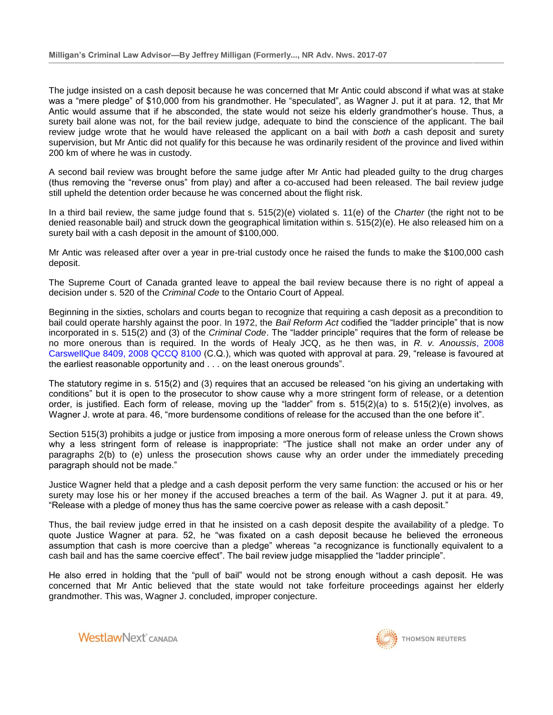The judge insisted on a cash deposit because he was concerned that Mr Antic could abscond if what was at stake was a "mere pledge" of \$10,000 from his grandmother. He "speculated", as Wagner J. put it at para. 12, that Mr Antic would assume that if he absconded, the state would not seize his elderly grandmother's house. Thus, a surety bail alone was not, for the bail review judge, adequate to bind the conscience of the applicant. The bail review judge wrote that he would have released the applicant on a bail with *both* a cash deposit and surety supervision, but Mr Antic did not qualify for this because he was ordinarily resident of the province and lived within 200 km of where he was in custody.

A second bail review was brought before the same judge after Mr Antic had pleaded guilty to the drug charges (thus removing the "reverse onus" from play) and after a co-accused had been released. The bail review judge still upheld the detention order because he was concerned about the flight risk.

In a third bail review, the same judge found that s. 515(2)(e) violated s. 11(e) of the *Charter* (the right not to be denied reasonable bail) and struck down the geographical limitation within s. 515(2)(e). He also released him on a surety bail with a cash deposit in the amount of \$100,000.

Mr Antic was released after over a year in pre-trial custody once he raised the funds to make the \$100,000 cash deposit.

The Supreme Court of Canada granted leave to appeal the bail review because there is no right of appeal a decision under s. 520 of the *Criminal Code* to the Ontario Court of Appeal.

Beginning in the sixties, scholars and courts began to recognize that requiring a cash deposit as a precondition to bail could operate harshly against the poor. In 1972, the *Bail Reform Act* codified the "ladder principle" that is now incorporated in s. 515(2) and (3) of the *Criminal Code*. The "ladder principle" requires that the form of release be no more onerous than is required. In the words of Healy JCQ, as he then was, in *R. v. Anoussis*[, 2008](http://nextcanada.westlaw.com/Link/Document/FullText?findType=Y&pubNum=6407&serNum=2016968938&originationContext=document&transitionType=DocumentItem&vr=3.0&rs=cblt1.0&contextData=(sc.Search))  [CarswellQue 8409, 2008 QCCQ 8100](http://nextcanada.westlaw.com/Link/Document/FullText?findType=Y&pubNum=6407&serNum=2016968938&originationContext=document&transitionType=DocumentItem&vr=3.0&rs=cblt1.0&contextData=(sc.Search)) (C.Q.), which was quoted with approval at para. 29, "release is favoured at the earliest reasonable opportunity and . . . on the least onerous grounds".

The statutory regime in s. 515(2) and (3) requires that an accused be released "on his giving an undertaking with conditions" but it is open to the prosecutor to show cause why a more stringent form of release, or a detention order, is justified. Each form of release, moving up the "ladder" from s. 515(2)(a) to s. 515(2)(e) involves, as Wagner J. wrote at para. 46, "more burdensome conditions of release for the accused than the one before it".

Section 515(3) prohibits a judge or justice from imposing a more onerous form of release unless the Crown shows why a less stringent form of release is inappropriate: "The justice shall not make an order under any of paragraphs 2(b) to (e) unless the prosecution shows cause why an order under the immediately preceding paragraph should not be made."

Justice Wagner held that a pledge and a cash deposit perform the very same function: the accused or his or her surety may lose his or her money if the accused breaches a term of the bail. As Wagner J. put it at para. 49, "Release with a pledge of money thus has the same coercive power as release with a cash deposit."

Thus, the bail review judge erred in that he insisted on a cash deposit despite the availability of a pledge. To quote Justice Wagner at para. 52, he "was fixated on a cash deposit because he believed the erroneous assumption that cash is more coercive than a pledge" whereas "a recognizance is functionally equivalent to a cash bail and has the same coercive effect". The bail review judge misapplied the "ladder principle".

He also erred in holding that the "pull of bail" would not be strong enough without a cash deposit. He was concerned that Mr Antic believed that the state would not take forfeiture proceedings against her elderly grandmother. This was, Wagner J. concluded, improper conjecture.



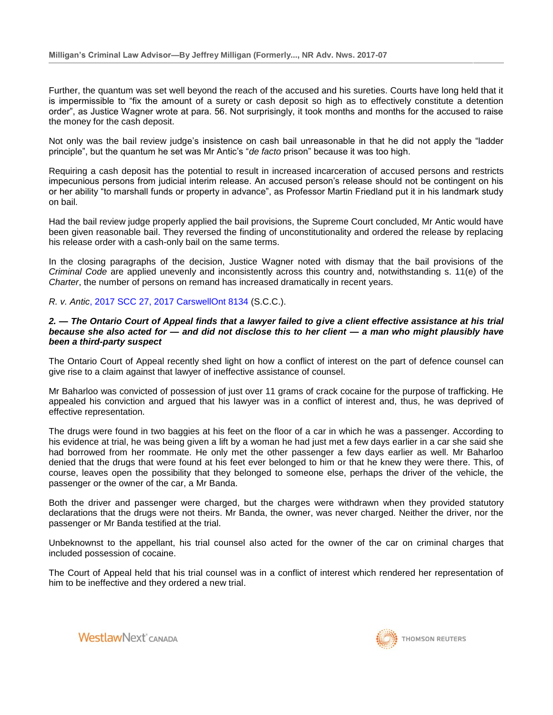Further, the quantum was set well beyond the reach of the accused and his sureties. Courts have long held that it is impermissible to "fix the amount of a surety or cash deposit so high as to effectively constitute a detention order", as Justice Wagner wrote at para. 56. Not surprisingly, it took months and months for the accused to raise the money for the cash deposit.

Not only was the bail review judge's insistence on cash bail unreasonable in that he did not apply the "ladder principle", but the quantum he set was Mr Antic's "*de facto* prison" because it was too high.

Requiring a cash deposit has the potential to result in increased incarceration of accused persons and restricts impecunious persons from judicial interim release. An accused person's release should not be contingent on his or her ability "to marshall funds or property in advance", as Professor Martin Friedland put it in his landmark study on bail.

Had the bail review judge properly applied the bail provisions, the Supreme Court concluded, Mr Antic would have been given reasonable bail. They reversed the finding of unconstitutionality and ordered the release by replacing his release order with a cash-only bail on the same terms.

In the closing paragraphs of the decision, Justice Wagner noted with dismay that the bail provisions of the *Criminal Code* are applied unevenly and inconsistently across this country and, notwithstanding s. 11(e) of the *Charter*, the number of persons on remand has increased dramatically in recent years.

## *R. v. Antic*[, 2017 SCC 27, 2017 CarswellOnt 8134](http://nextcanada.westlaw.com/Link/Document/FullText?findType=Y&pubNum=6407&serNum=2041776215&originationContext=document&transitionType=DocumentItem&vr=3.0&rs=cblt1.0&contextData=(sc.Search)) (S.C.C.).

## *2. — The Ontario Court of Appeal finds that a lawyer failed to give a client effective assistance at his trial because she also acted for — and did not disclose this to her client — a man who might plausibly have been a third-party suspect*

The Ontario Court of Appeal recently shed light on how a conflict of interest on the part of defence counsel can give rise to a claim against that lawyer of ineffective assistance of counsel.

Mr Baharloo was convicted of possession of just over 11 grams of crack cocaine for the purpose of trafficking. He appealed his conviction and argued that his lawyer was in a conflict of interest and, thus, he was deprived of effective representation.

The drugs were found in two baggies at his feet on the floor of a car in which he was a passenger. According to his evidence at trial, he was being given a lift by a woman he had just met a few days earlier in a car she said she had borrowed from her roommate. He only met the other passenger a few days earlier as well. Mr Baharloo denied that the drugs that were found at his feet ever belonged to him or that he knew they were there. This, of course, leaves open the possibility that they belonged to someone else, perhaps the driver of the vehicle, the passenger or the owner of the car, a Mr Banda.

Both the driver and passenger were charged, but the charges were withdrawn when they provided statutory declarations that the drugs were not theirs. Mr Banda, the owner, was never charged. Neither the driver, nor the passenger or Mr Banda testified at the trial.

Unbeknownst to the appellant, his trial counsel also acted for the owner of the car on criminal charges that included possession of cocaine.

The Court of Appeal held that his trial counsel was in a conflict of interest which rendered her representation of him to be ineffective and they ordered a new trial.

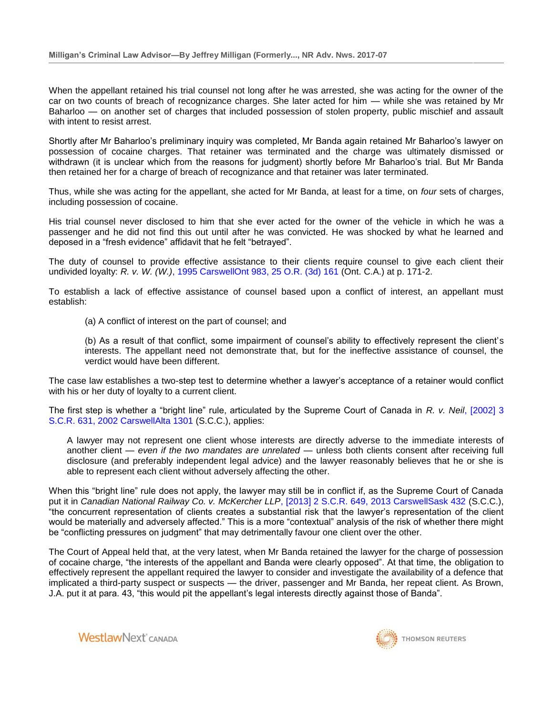When the appellant retained his trial counsel not long after he was arrested, she was acting for the owner of the car on two counts of breach of recognizance charges. She later acted for him — while she was retained by Mr Baharloo — on another set of charges that included possession of stolen property, public mischief and assault with intent to resist arrest.

Shortly after Mr Baharloo's preliminary inquiry was completed, Mr Banda again retained Mr Baharloo's lawyer on possession of cocaine charges. That retainer was terminated and the charge was ultimately dismissed or withdrawn (it is unclear which from the reasons for judgment) shortly before Mr Baharloo's trial. But Mr Banda then retained her for a charge of breach of recognizance and that retainer was later terminated.

Thus, while she was acting for the appellant, she acted for Mr Banda, at least for a time, on *four* sets of charges, including possession of cocaine.

His trial counsel never disclosed to him that she ever acted for the owner of the vehicle in which he was a passenger and he did not find this out until after he was convicted. He was shocked by what he learned and deposed in a "fresh evidence" affidavit that he felt "betrayed".

The duty of counsel to provide effective assistance to their clients require counsel to give each client their undivided loyalty: *R. v. W. (W.)*[, 1995 CarswellOnt 983, 25 O.R. \(3d\) 161](http://nextcanada.westlaw.com/Link/Document/FullText?findType=Y&pubNum=6407&serNum=1995399903&originationContext=document&transitionType=DocumentItem&vr=3.0&rs=cblt1.0&contextData=(sc.Search)) (Ont. C.A.) at p. 171-2.

To establish a lack of effective assistance of counsel based upon a conflict of interest, an appellant must establish:

(a) A conflict of interest on the part of counsel; and

(b) As a result of that conflict, some impairment of counsel's ability to effectively represent the client's interests. The appellant need not demonstrate that, but for the ineffective assistance of counsel, the verdict would have been different.

The case law establishes a two-step test to determine whether a lawyer's acceptance of a retainer would conflict with his or her duty of loyalty to a current client.

The first step is whether a "bright line" rule, articulated by the Supreme Court of Canada in *R. v. Neil*[, \[2002\] 3](http://nextcanada.westlaw.com/Link/Document/FullText?findType=Y&pubNum=6407&serNum=2002515819&originationContext=document&transitionType=DocumentItem&vr=3.0&rs=cblt1.0&contextData=(sc.Search))  [S.C.R. 631, 2002 CarswellAlta 1301](http://nextcanada.westlaw.com/Link/Document/FullText?findType=Y&pubNum=6407&serNum=2002515819&originationContext=document&transitionType=DocumentItem&vr=3.0&rs=cblt1.0&contextData=(sc.Search)) (S.C.C.), applies:

A lawyer may not represent one client whose interests are directly adverse to the immediate interests of another client — *even if the two mandates are unrelated* — unless both clients consent after receiving full disclosure (and preferably independent legal advice) and the lawyer reasonably believes that he or she is able to represent each client without adversely affecting the other.

When this "bright line" rule does not apply, the lawyer may still be in conflict if, as the Supreme Court of Canada put it in *Canadian National Railway Co. v. McKercher LLP*[, \[2013\] 2 S.C.R. 649, 2013 CarswellSask 432](http://nextcanada.westlaw.com/Link/Document/FullText?findType=Y&pubNum=6407&serNum=2030933011&originationContext=document&transitionType=DocumentItem&vr=3.0&rs=cblt1.0&contextData=(sc.Search)) (S.C.C.), "the concurrent representation of clients creates a substantial risk that the lawyer's representation of the client would be materially and adversely affected." This is a more "contextual" analysis of the risk of whether there might be "conflicting pressures on judgment" that may detrimentally favour one client over the other.

The Court of Appeal held that, at the very latest, when Mr Banda retained the lawyer for the charge of possession of cocaine charge, "the interests of the appellant and Banda were clearly opposed". At that time, the obligation to effectively represent the appellant required the lawyer to consider and investigate the availability of a defence that implicated a third-party suspect or suspects — the driver, passenger and Mr Banda, her repeat client. As Brown, J.A. put it at para. 43, "this would pit the appellant's legal interests directly against those of Banda".

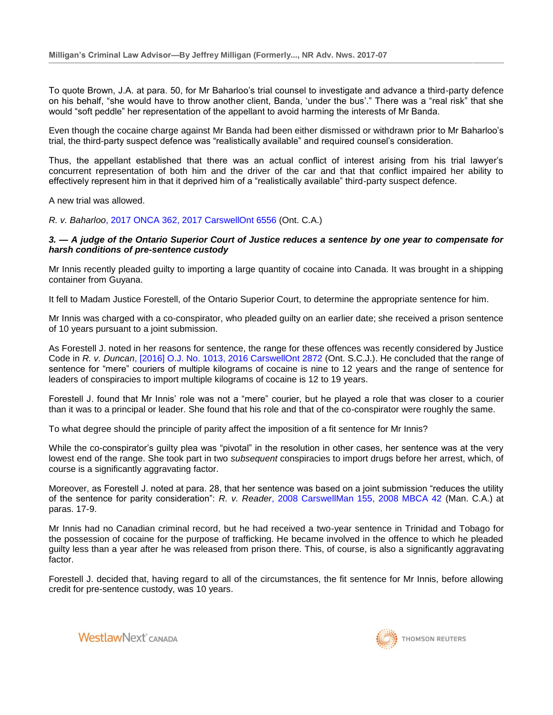To quote Brown, J.A. at para. 50, for Mr Baharloo's trial counsel to investigate and advance a third-party defence on his behalf, "she would have to throw another client, Banda, 'under the bus'." There was a "real risk" that she would "soft peddle" her representation of the appellant to avoid harming the interests of Mr Banda.

Even though the cocaine charge against Mr Banda had been either dismissed or withdrawn prior to Mr Baharloo's trial, the third-party suspect defence was "realistically available" and required counsel's consideration.

Thus, the appellant established that there was an actual conflict of interest arising from his trial lawyer's concurrent representation of both him and the driver of the car and that that conflict impaired her ability to effectively represent him in that it deprived him of a "realistically available" third-party suspect defence.

A new trial was allowed.

*R. v. Baharloo*[, 2017 ONCA 362, 2017 CarswellOnt 6556](http://nextcanada.westlaw.com/Link/Document/FullText?findType=Y&pubNum=6407&serNum=2041594069&originationContext=document&transitionType=DocumentItem&vr=3.0&rs=cblt1.0&contextData=(sc.Search)) (Ont. C.A.)

## *3. — A judge of the Ontario Superior Court of Justice reduces a sentence by one year to compensate for harsh conditions of pre-sentence custody*

Mr Innis recently pleaded guilty to importing a large quantity of cocaine into Canada. It was brought in a shipping container from Guyana.

It fell to Madam Justice Forestell, of the Ontario Superior Court, to determine the appropriate sentence for him.

Mr Innis was charged with a co-conspirator, who pleaded guilty on an earlier date; she received a prison sentence of 10 years pursuant to a joint submission.

As Forestell J. noted in her reasons for sentence, the range for these offences was recently considered by Justice Code in *R. v. Duncan*[, \[2016\] O.J. No. 1013, 2016 CarswellOnt 2872](http://nextcanada.westlaw.com/Link/Document/FullText?findType=Y&pubNum=6407&serNum=2038373627&originationContext=document&transitionType=DocumentItem&vr=3.0&rs=cblt1.0&contextData=(sc.Search)) (Ont. S.C.J.). He concluded that the range of sentence for "mere" couriers of multiple kilograms of cocaine is nine to 12 years and the range of sentence for leaders of conspiracies to import multiple kilograms of cocaine is 12 to 19 years.

Forestell J. found that Mr Innis' role was not a "mere" courier, but he played a role that was closer to a courier than it was to a principal or leader. She found that his role and that of the co-conspirator were roughly the same.

To what degree should the principle of parity affect the imposition of a fit sentence for Mr Innis?

While the co-conspirator's guilty plea was "pivotal" in the resolution in other cases, her sentence was at the very lowest end of the range. She took part in two *subsequent* conspiracies to import drugs before her arrest, which, of course is a significantly aggravating factor.

Moreover, as Forestell J. noted at para. 28, that her sentence was based on a joint submission "reduces the utility of the sentence for parity consideration": *R. v. Reader*[, 2008 CarswellMan 155, 2008 MBCA 42](http://nextcanada.westlaw.com/Link/Document/FullText?findType=Y&pubNum=6407&serNum=2015738156&originationContext=document&transitionType=DocumentItem&vr=3.0&rs=cblt1.0&contextData=(sc.Search)) (Man. C.A.) at paras. 17-9.

Mr Innis had no Canadian criminal record, but he had received a two-year sentence in Trinidad and Tobago for the possession of cocaine for the purpose of trafficking. He became involved in the offence to which he pleaded guilty less than a year after he was released from prison there. This, of course, is also a significantly aggravating factor.

Forestell J. decided that, having regard to all of the circumstances, the fit sentence for Mr Innis, before allowing credit for pre-sentence custody, was 10 years.

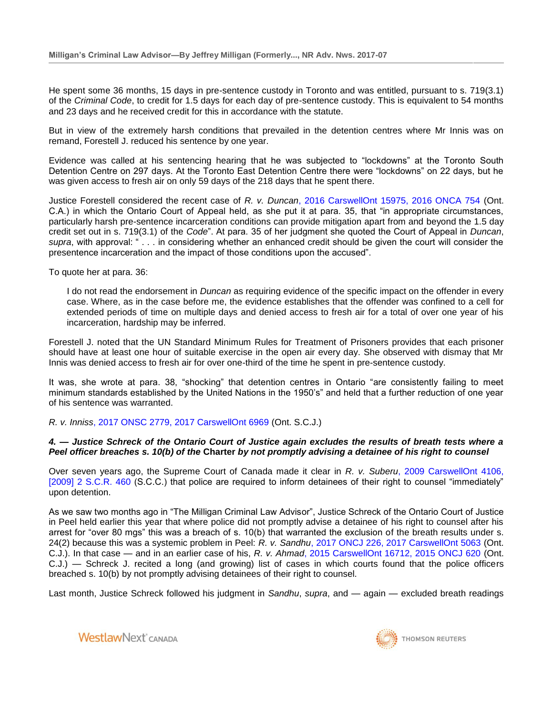He spent some 36 months, 15 days in pre-sentence custody in Toronto and was entitled, pursuant to s. 719(3.1) of the *Criminal Code*, to credit for 1.5 days for each day of pre-sentence custody. This is equivalent to 54 months and 23 days and he received credit for this in accordance with the statute.

But in view of the extremely harsh conditions that prevailed in the detention centres where Mr Innis was on remand, Forestell J. reduced his sentence by one year.

Evidence was called at his sentencing hearing that he was subjected to "lockdowns" at the Toronto South Detention Centre on 297 days. At the Toronto East Detention Centre there were "lockdowns" on 22 days, but he was given access to fresh air on only 59 days of the 218 days that he spent there.

Justice Forestell considered the recent case of *R. v. Duncan*[, 2016 CarswellOnt 15975, 2016 ONCA 754](http://nextcanada.westlaw.com/Link/Document/FullText?findType=Y&pubNum=6407&serNum=2039995796&originationContext=document&transitionType=DocumentItem&vr=3.0&rs=cblt1.0&contextData=(sc.Search)) (Ont. C.A.) in which the Ontario Court of Appeal held, as she put it at para. 35, that "in appropriate circumstances, particularly harsh pre-sentence incarceration conditions can provide mitigation apart from and beyond the 1.5 day credit set out in s. 719(3.1) of the *Code*". At para. 35 of her judgment she quoted the Court of Appeal in *Duncan*, *supra*, with approval: " . . . in considering whether an enhanced credit should be given the court will consider the presentence incarceration and the impact of those conditions upon the accused".

To quote her at para. 36:

I do not read the endorsement in *Duncan* as requiring evidence of the specific impact on the offender in every case. Where, as in the case before me, the evidence establishes that the offender was confined to a cell for extended periods of time on multiple days and denied access to fresh air for a total of over one year of his incarceration, hardship may be inferred.

Forestell J. noted that the UN Standard Minimum Rules for Treatment of Prisoners provides that each prisoner should have at least one hour of suitable exercise in the open air every day. She observed with dismay that Mr Innis was denied access to fresh air for over one-third of the time he spent in pre-sentence custody.

It was, she wrote at para. 38, "shocking" that detention centres in Ontario "are consistently failing to meet minimum standards established by the United Nations in the 1950's" and held that a further reduction of one year of his sentence was warranted.

*R. v. Inniss*[, 2017 ONSC 2779, 2017 CarswellOnt 6969](http://nextcanada.westlaw.com/Link/Document/FullText?findType=Y&pubNum=6407&serNum=2041642387&originationContext=document&transitionType=DocumentItem&vr=3.0&rs=cblt1.0&contextData=(sc.Search)) (Ont. S.C.J.)

## *4. — Justice Schreck of the Ontario Court of Justice again excludes the results of breath tests where a Peel officer breaches s. 10(b) of the* **Charter** *by not promptly advising a detainee of his right to counsel*

Over seven years ago, the Supreme Court of Canada made it clear in *R. v. Suberu*[, 2009 CarswellOnt 4106,](http://nextcanada.westlaw.com/Link/Document/FullText?findType=Y&pubNum=6407&serNum=2019401828&originationContext=document&transitionType=DocumentItem&vr=3.0&rs=cblt1.0&contextData=(sc.Search))  [\[2009\] 2 S.C.R. 460](http://nextcanada.westlaw.com/Link/Document/FullText?findType=Y&pubNum=6407&serNum=2019401828&originationContext=document&transitionType=DocumentItem&vr=3.0&rs=cblt1.0&contextData=(sc.Search)) (S.C.C.) that police are required to inform detainees of their right to counsel "immediately" upon detention.

As we saw two months ago in "The Milligan Criminal Law Advisor", Justice Schreck of the Ontario Court of Justice in Peel held earlier this year that where police did not promptly advise a detainee of his right to counsel after his arrest for "over 80 mgs" this was a breach of s. 10(b) that warranted the exclusion of the breath results under s. 24(2) because this was a systemic problem in Peel: *R. v. Sandhu*[, 2017 ONCJ 226, 2017 CarswellOnt 5063](http://nextcanada.westlaw.com/Link/Document/FullText?findType=Y&pubNum=6407&serNum=2041411085&originationContext=document&transitionType=DocumentItem&vr=3.0&rs=cblt1.0&contextData=(sc.Search)) (Ont. C.J.). In that case — and in an earlier case of his, *R. v. Ahmad*[, 2015 CarswellOnt 16712, 2015 ONCJ 620](http://nextcanada.westlaw.com/Link/Document/FullText?findType=Y&pubNum=6407&serNum=2037534787&originationContext=document&transitionType=DocumentItem&vr=3.0&rs=cblt1.0&contextData=(sc.Search)) (Ont. C.J.) — Schreck J. recited a long (and growing) list of cases in which courts found that the police officers breached s. 10(b) by not promptly advising detainees of their right to counsel.

Last month, Justice Schreck followed his judgment in *Sandhu*, *supra*, and — again — excluded breath readings